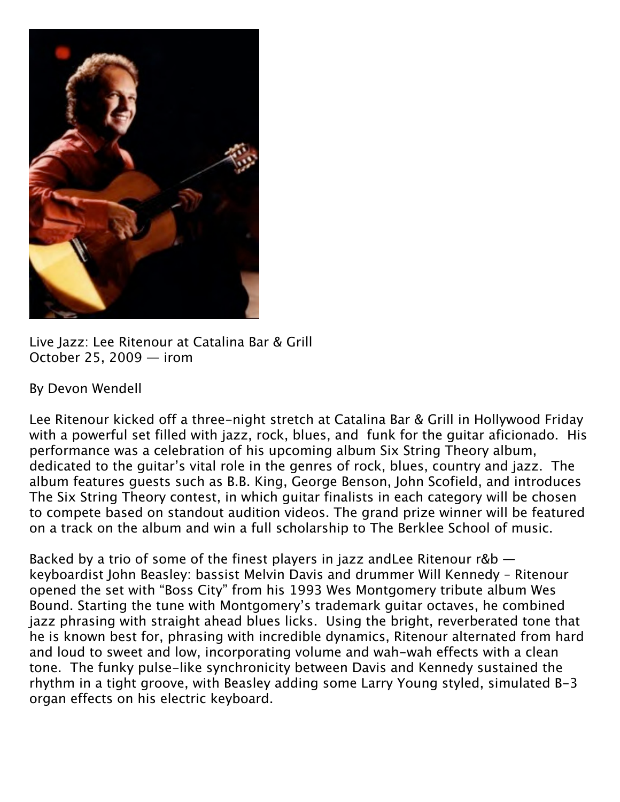

Live Jazz: Lee Ritenour at Catalina Bar & Grill October 25, 2009 — irom

## By Devon Wendell

Lee Ritenour kicked off a three-night stretch at Catalina Bar & Grill in Hollywood Friday with a powerful set filled with jazz, rock, blues, and funk for the guitar aficionado. His performance was a celebration of his upcoming album Six String Theory album, dedicated to the guitar's vital role in the genres of rock, blues, country and jazz. The album features guests such as B.B. King, George Benson, John Scofield, and introduces The Six String Theory contest, in which guitar finalists in each category will be chosen to compete based on standout audition videos. The grand prize winner will be featured on a track on the album and win a full scholarship to The Berklee School of music.

Backed by a trio of some of the finest players in jazz andLee Ritenour r&b keyboardist John Beasley: bassist Melvin Davis and drummer Will Kennedy – Ritenour opened the set with "Boss City" from his 1993 Wes Montgomery tribute album Wes Bound. Starting the tune with Montgomery's trademark guitar octaves, he combined jazz phrasing with straight ahead blues licks. Using the bright, reverberated tone that he is known best for, phrasing with incredible dynamics, Ritenour alternated from hard and loud to sweet and low, incorporating volume and wah-wah effects with a clean tone. The funky pulse-like synchronicity between Davis and Kennedy sustained the rhythm in a tight groove, with Beasley adding some Larry Young styled, simulated B-3 organ effects on his electric keyboard.